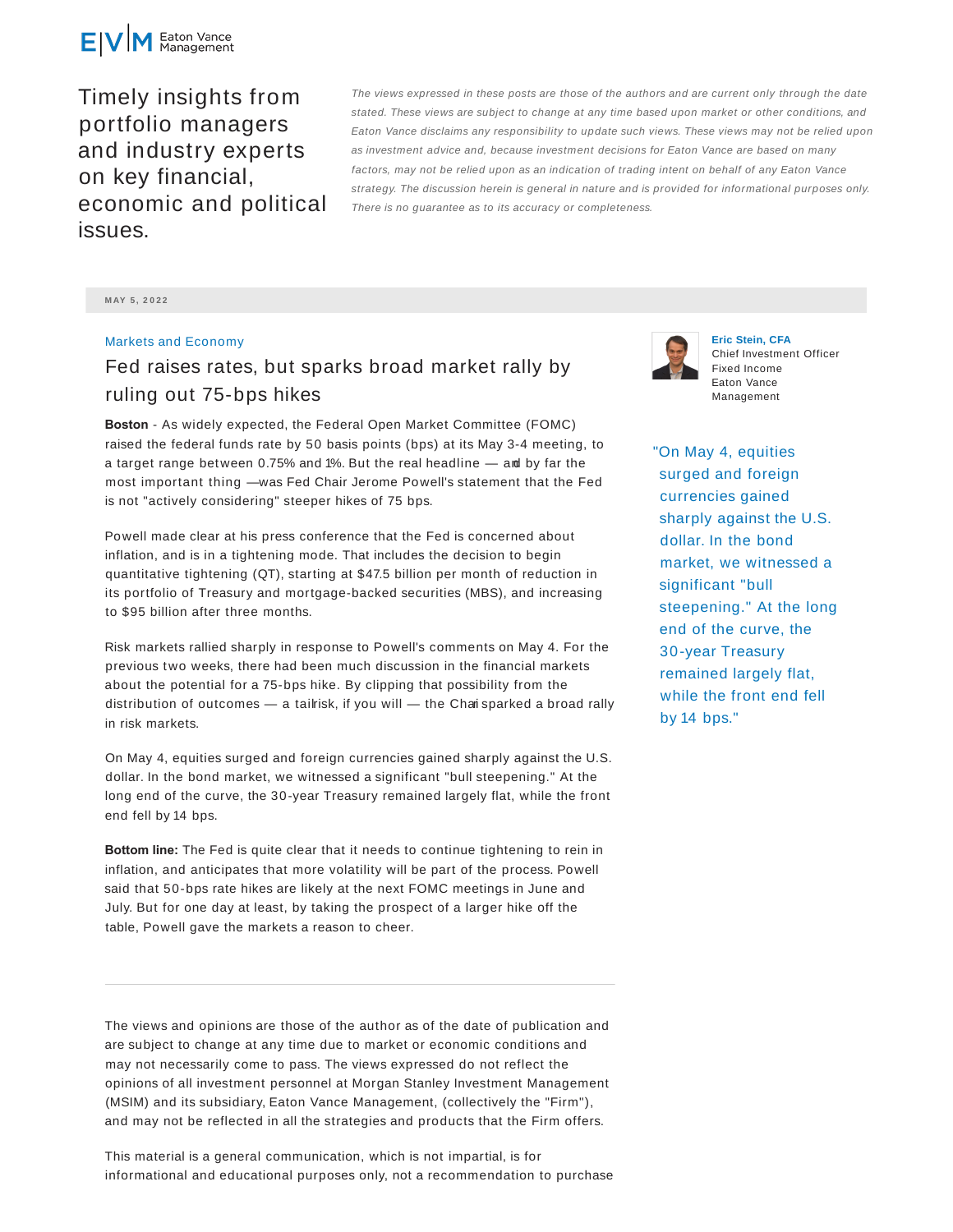

Timely insights from portfolio managers and industry experts on key financial, economic and political issues.

The views expressed in these posts are those of the authors and are current only through the date stated. These views are subject to change at any time based upon market or other conditions, and Eaton Vance disclaims any responsibility to update such views. These views may not be relied upon as investment advice and, because investment decisions for Eaton Vance are based on many factors, may not be relied upon as an indication of trading intent on behalf of any Eaton Vance strategy. The discussion herein is general in nature and is provided for informational purposes only. There is no guarantee as to its accuracy or completeness.

**M AY 5 , 2 0 2 2**

## Markets and Economy

## Fed raises rates, but sparks broad market rally by ruling out 75-bps hikes

**Boston** - As widely expected, the Federal Open Market Committee (FOMC) raised the federal funds rate by 50 basis points (bps) at its May 3-4 meeting, to a target range between 0.75% and 1%. But the real headline — and by far the most important thing —was Fed Chair Jerome Powell's statement that the Fed is not "actively considering" steeper hikes of 75 bps.

Powell made clear at his press conference that the Fed is concerned about inflation, and is in a tightening mode. That includes the decision to begin quantitative tightening (QT), starting at \$47.5 billion per month of reduction in its portfolio of Treasury and mortgage-backed securities (MBS), and increasing to \$95 billion after three months.

Risk markets rallied sharply in response to Powell's comments on May 4. For the previous two weeks, there had been much discussion in the financial markets about the potential for a 75-bps hike. By clipping that possibility from the distribution of outcomes — a tailrisk, if you will — the Chari sparked a broad rally in risk markets.

On May 4, equities surged and foreign currencies gained sharply against the U.S. dollar. In the bond market, we witnessed a significant "bull steepening." At the long end of the curve, the 30-year Treasury remained largely flat, while the front end fell by 14 bps.

**Bottom line:** The Fed is quite clear that it needs to continue tightening to rein in inflation, and anticipates that more volatility will be part of the process. Powell said that 50-bps rate hikes are likely at the next FOMC meetings in June and July. But for one day at least, by taking the prospect of a larger hike off the table, Powell gave the markets a reason to cheer.

The views and opinions are those of the author as of the date of publication and are subject to change at any time due to market or economic conditions and may not necessarily come to pass. The views expressed do not reflect the opinions of all investment personnel at Morgan Stanley Investment Management (MSIM) and its subsidiary, Eaton Vance Management, (collectively the "Firm"), and may not be reflected in all the strategies and products that the Firm offers.

This material is a general communication, which is not impartial, is for informational and educational purposes only, not a recommendation to purchase



**Eric Stein, CFA** Chief Investment Officer Fixed Income Eaton Vance Management

"On May 4, equities surged and foreign currencies gained sharply against the U.S. dollar. In the bond market, we witnessed a significant "bull steepening." At the long end of the curve, the 30-year Treasury remained largely flat, while the front end fell by 14 bps."